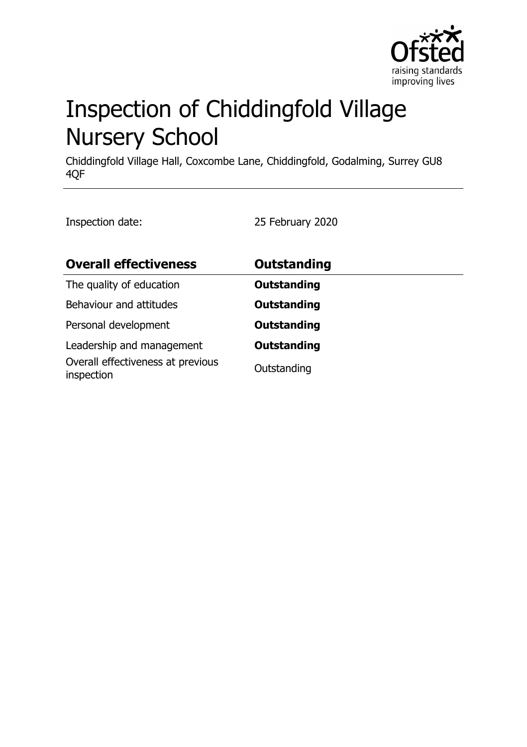

# Inspection of Chiddingfold Village Nursery School

Chiddingfold Village Hall, Coxcombe Lane, Chiddingfold, Godalming, Surrey GU8 4QF

Inspection date: 25 February 2020

| <b>Overall effectiveness</b>                    | Outstanding        |
|-------------------------------------------------|--------------------|
| The quality of education                        | <b>Outstanding</b> |
| Behaviour and attitudes                         | <b>Outstanding</b> |
| Personal development                            | <b>Outstanding</b> |
| Leadership and management                       | <b>Outstanding</b> |
| Overall effectiveness at previous<br>inspection | Outstanding        |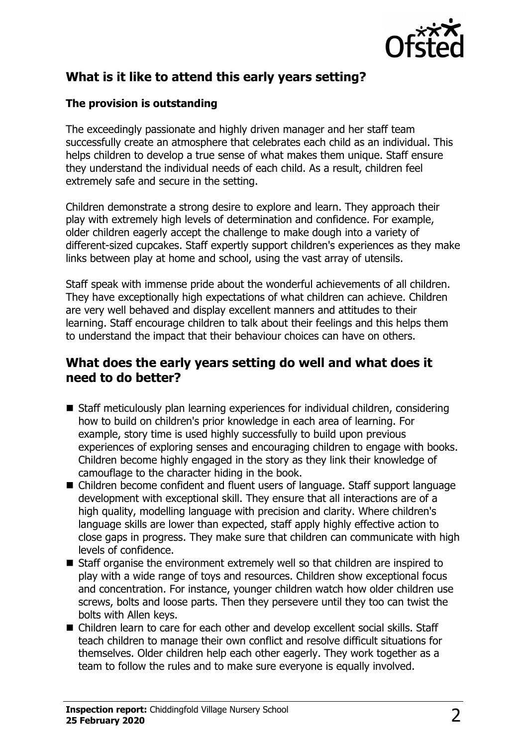

# **What is it like to attend this early years setting?**

#### **The provision is outstanding**

The exceedingly passionate and highly driven manager and her staff team successfully create an atmosphere that celebrates each child as an individual. This helps children to develop a true sense of what makes them unique. Staff ensure they understand the individual needs of each child. As a result, children feel extremely safe and secure in the setting.

Children demonstrate a strong desire to explore and learn. They approach their play with extremely high levels of determination and confidence. For example, older children eagerly accept the challenge to make dough into a variety of different-sized cupcakes. Staff expertly support children's experiences as they make links between play at home and school, using the vast array of utensils.

Staff speak with immense pride about the wonderful achievements of all children. They have exceptionally high expectations of what children can achieve. Children are very well behaved and display excellent manners and attitudes to their learning. Staff encourage children to talk about their feelings and this helps them to understand the impact that their behaviour choices can have on others.

### **What does the early years setting do well and what does it need to do better?**

- Staff meticulously plan learning experiences for individual children, considering how to build on children's prior knowledge in each area of learning. For example, story time is used highly successfully to build upon previous experiences of exploring senses and encouraging children to engage with books. Children become highly engaged in the story as they link their knowledge of camouflage to the character hiding in the book.
- Children become confident and fluent users of language. Staff support language development with exceptional skill. They ensure that all interactions are of a high quality, modelling language with precision and clarity. Where children's language skills are lower than expected, staff apply highly effective action to close gaps in progress. They make sure that children can communicate with high levels of confidence.
- $\blacksquare$  Staff organise the environment extremely well so that children are inspired to play with a wide range of toys and resources. Children show exceptional focus and concentration. For instance, younger children watch how older children use screws, bolts and loose parts. Then they persevere until they too can twist the bolts with Allen keys.
- Children learn to care for each other and develop excellent social skills. Staff teach children to manage their own conflict and resolve difficult situations for themselves. Older children help each other eagerly. They work together as a team to follow the rules and to make sure everyone is equally involved.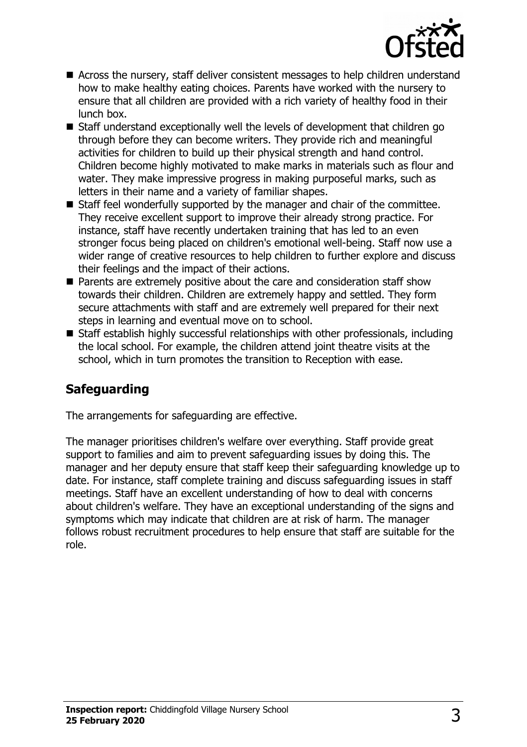

- Across the nursery, staff deliver consistent messages to help children understand how to make healthy eating choices. Parents have worked with the nursery to ensure that all children are provided with a rich variety of healthy food in their lunch box.
- Staff understand exceptionally well the levels of development that children go through before they can become writers. They provide rich and meaningful activities for children to build up their physical strength and hand control. Children become highly motivated to make marks in materials such as flour and water. They make impressive progress in making purposeful marks, such as letters in their name and a variety of familiar shapes.
- $\blacksquare$  Staff feel wonderfully supported by the manager and chair of the committee. They receive excellent support to improve their already strong practice. For instance, staff have recently undertaken training that has led to an even stronger focus being placed on children's emotional well-being. Staff now use a wider range of creative resources to help children to further explore and discuss their feelings and the impact of their actions.
- $\blacksquare$  Parents are extremely positive about the care and consideration staff show towards their children. Children are extremely happy and settled. They form secure attachments with staff and are extremely well prepared for their next steps in learning and eventual move on to school.
- $\blacksquare$  Staff establish highly successful relationships with other professionals, including the local school. For example, the children attend joint theatre visits at the school, which in turn promotes the transition to Reception with ease.

## **Safeguarding**

The arrangements for safeguarding are effective.

The manager prioritises children's welfare over everything. Staff provide great support to families and aim to prevent safeguarding issues by doing this. The manager and her deputy ensure that staff keep their safeguarding knowledge up to date. For instance, staff complete training and discuss safeguarding issues in staff meetings. Staff have an excellent understanding of how to deal with concerns about children's welfare. They have an exceptional understanding of the signs and symptoms which may indicate that children are at risk of harm. The manager follows robust recruitment procedures to help ensure that staff are suitable for the role.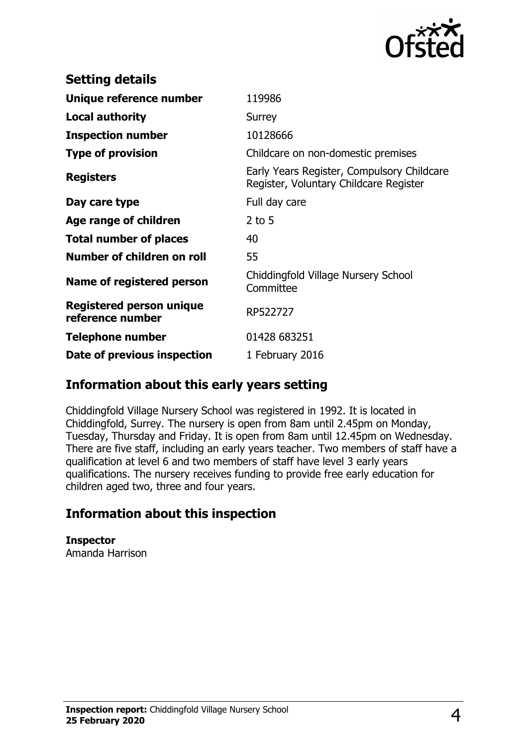

| <b>Setting details</b>                       |                                                                                      |
|----------------------------------------------|--------------------------------------------------------------------------------------|
| Unique reference number                      | 119986                                                                               |
| <b>Local authority</b>                       | <b>Surrey</b>                                                                        |
| <b>Inspection number</b>                     | 10128666                                                                             |
| <b>Type of provision</b>                     | Childcare on non-domestic premises                                                   |
| <b>Registers</b>                             | Early Years Register, Compulsory Childcare<br>Register, Voluntary Childcare Register |
| Day care type                                | Full day care                                                                        |
| Age range of children                        | $2$ to 5                                                                             |
| <b>Total number of places</b>                | 40                                                                                   |
| Number of children on roll                   | 55                                                                                   |
| Name of registered person                    | Chiddingfold Village Nursery School<br>Committee                                     |
| Registered person unique<br>reference number | RP522727                                                                             |
| <b>Telephone number</b>                      | 01428 683251                                                                         |
| Date of previous inspection                  | 1 February 2016                                                                      |

### **Information about this early years setting**

Chiddingfold Village Nursery School was registered in 1992. It is located in Chiddingfold, Surrey. The nursery is open from 8am until 2.45pm on Monday, Tuesday, Thursday and Friday. It is open from 8am until 12.45pm on Wednesday. There are five staff, including an early years teacher. Two members of staff have a qualification at level 6 and two members of staff have level 3 early years qualifications. The nursery receives funding to provide free early education for children aged two, three and four years.

## **Information about this inspection**

**Inspector** Amanda Harrison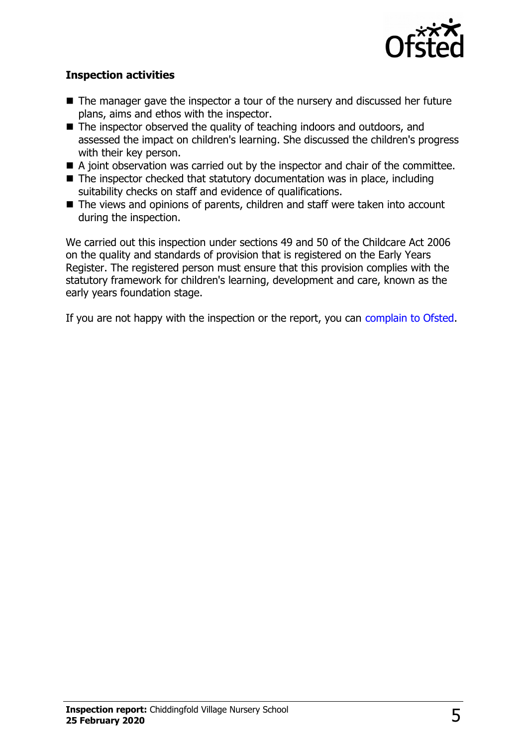

#### **Inspection activities**

- $\blacksquare$  The manager gave the inspector a tour of the nursery and discussed her future plans, aims and ethos with the inspector.
- $\blacksquare$  The inspector observed the quality of teaching indoors and outdoors, and assessed the impact on children's learning. She discussed the children's progress with their key person.
- $\blacksquare$  A joint observation was carried out by the inspector and chair of the committee.
- $\blacksquare$  The inspector checked that statutory documentation was in place, including suitability checks on staff and evidence of qualifications.
- The views and opinions of parents, children and staff were taken into account during the inspection.

We carried out this inspection under sections 49 and 50 of the Childcare Act 2006 on the quality and standards of provision that is registered on the Early Years Register. The registered person must ensure that this provision complies with the statutory framework for children's learning, development and care, known as the early years foundation stage.

If you are not happy with the inspection or the report, you can [complain to Ofsted.](http://www.gov.uk/complain-ofsted-report)